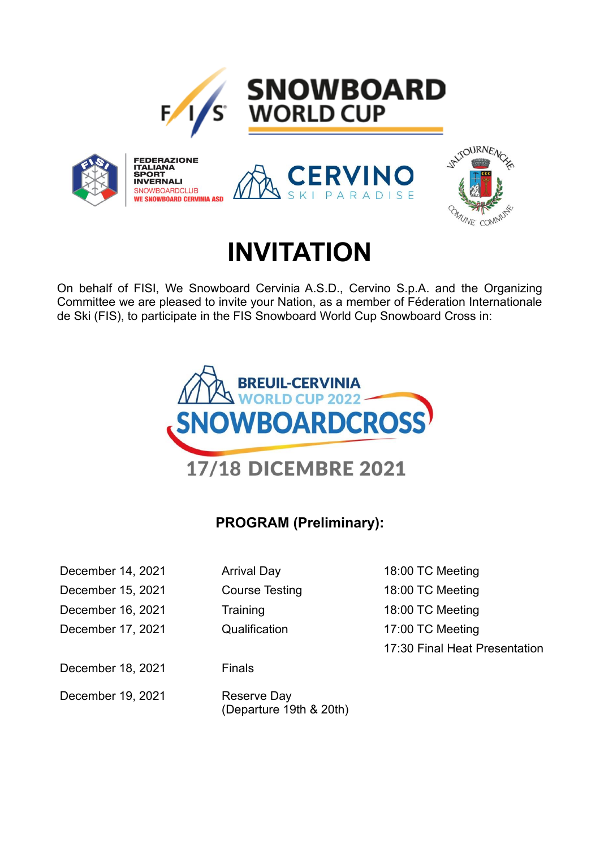

**INVERNALI** SNOWBOARDCLUB

**WE SNOWBOARD CERVINIA ASD** 



# **INVITATION**

PARADISE

On behalf of FISI, We Snowboard Cervinia A.S.D., Cervino S.p.A. and the Organizing Committee we are pleased to invite your Nation, as a member of Féderation Internationale de Ski (FIS), to participate in the FIS Snowboard World Cup Snowboard Cross in:



# **PROGRAM (Preliminary):**

| December 14, 2021 | <b>Arrival Day</b>                     |
|-------------------|----------------------------------------|
| December 15, 2021 | <b>Course Testing</b>                  |
| December 16, 2021 | Training                               |
| December 17, 2021 | Qualification                          |
|                   |                                        |
| December 18, 2021 | Finals                                 |
| December 19, 2021 | Reserve Day<br>(Departure 19th & 20th) |

18:00 TC Meeting 18:00 TC Meeting 18:00 TC Meeting 17:00 TC Meeting 17:30 Final Heat Presentation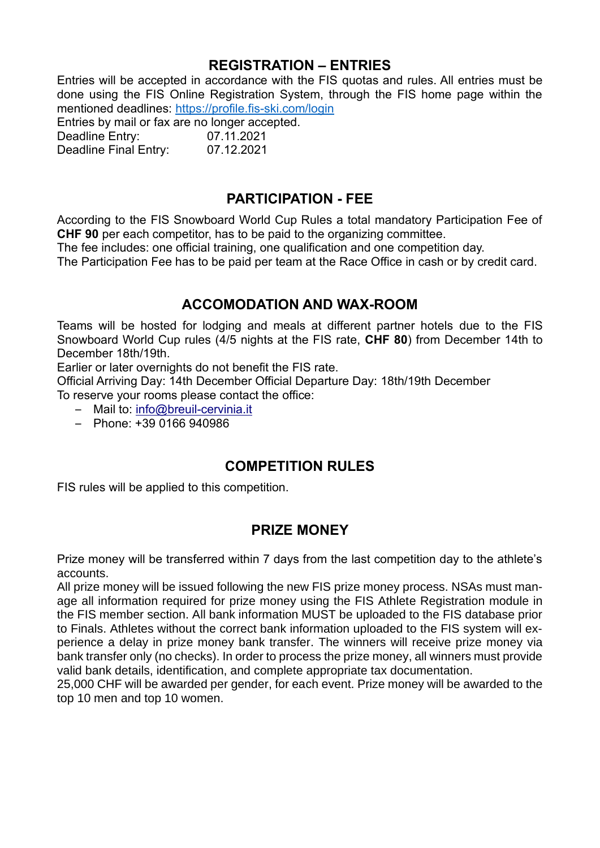#### **REGISTRATION – ENTRIES**

Entries will be accepted in accordance with the FIS quotas and rules. All entries must be done using the FIS Online Registration System, through the FIS home page within the mentioned deadlines: <https://profile.fis-ski.com/login>

Entries by mail or fax are no longer accepted. Deadline Entry: 07.11.2021

Deadline Final Entry: 07.12.2021

## **PARTICIPATION - FEE**

According to the FIS Snowboard World Cup Rules a total mandatory Participation Fee of **CHF 90** per each competitor, has to be paid to the organizing committee.

The fee includes: one official training, one qualification and one competition day.

The Participation Fee has to be paid per team at the Race Office in cash or by credit card.

## **ACCOMODATION AND WAX-ROOM**

Teams will be hosted for lodging and meals at different partner hotels due to the FIS Snowboard World Cup rules (4/5 nights at the FIS rate, **CHF 80**) from December 14th to December 18th/19th.

Earlier or later overnights do not benefit the FIS rate.

Official Arriving Day: 14th December Official Departure Day: 18th/19th December To reserve your rooms please contact the office:

- Mail to: [info@breuil-cervinia.it](mailto:info@breuil-cervinia.it)
- $-$  Phone:  $+39$  0166 940986

## **COMPETITION RULES**

FIS rules will be applied to this competition.

#### **PRIZE MONEY**

Prize money will be transferred within 7 days from the last competition day to the athlete's accounts.

All prize money will be issued following the new FIS prize money process. NSAs must manage all information required for prize money using the FIS Athlete Registration module in the FIS member section. All bank information MUST be uploaded to the FIS database prior to Finals. Athletes without the correct bank information uploaded to the FIS system will experience a delay in prize money bank transfer. The winners will receive prize money via bank transfer only (no checks). In order to process the prize money, all winners must provide valid bank details, identification, and complete appropriate tax documentation.

25,000 CHF will be awarded per gender, for each event. Prize money will be awarded to the top 10 men and top 10 women.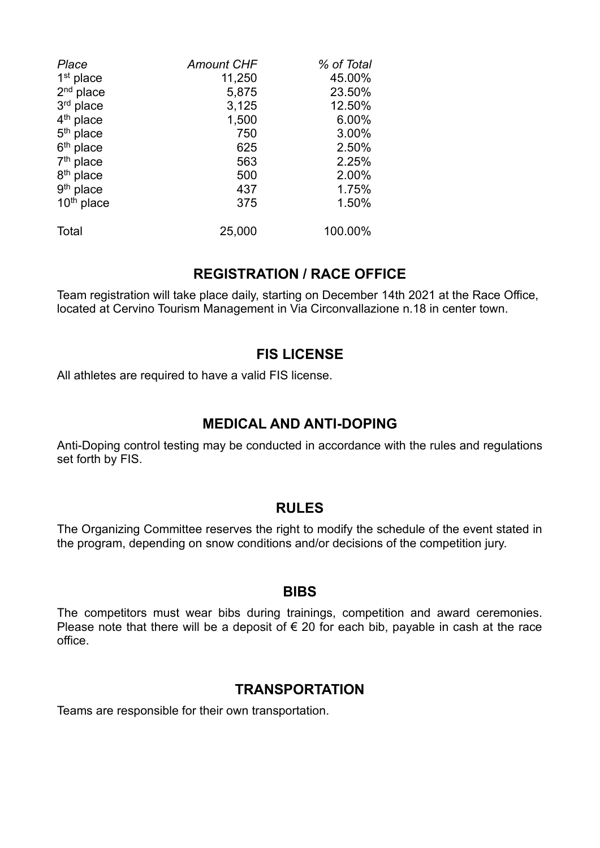| Place                  | <b>Amount CHF</b> | % of Total |
|------------------------|-------------------|------------|
| $1st$ place            | 11,250            | 45.00%     |
| $2nd$ place            | 5,875             | 23.50%     |
| 3rd place              | 3,125             | 12.50%     |
| $4th$ place            | 1,500             | 6.00%      |
| $5th$ place            | 750               | 3.00%      |
| $6th$ place            | 625               | 2.50%      |
| $7th$ place            | 563               | 2.25%      |
| 8 <sup>th</sup> place  | 500               | 2.00%      |
| $9th$ place            | 437               | 1.75%      |
| 10 <sup>th</sup> place | 375               | 1.50%      |
| Total                  | 25,000            | 100.00%    |

#### **REGISTRATION / RACE OFFICE**

Team registration will take place daily, starting on December 14th 2021 at the Race Office, located at Cervino Tourism Management in Via Circonvallazione n.18 in center town.

#### **FIS LICENSE**

All athletes are required to have a valid FIS license.

#### **MEDICAL AND ANTI-DOPING**

Anti-Doping control testing may be conducted in accordance with the rules and regulations set forth by FIS.

#### **RULES**

The Organizing Committee reserves the right to modify the schedule of the event stated in the program, depending on snow conditions and/or decisions of the competition jury.

#### **BIBS**

The competitors must wear bibs during trainings, competition and award ceremonies. Please note that there will be a deposit of  $\epsilon$  20 for each bib, payable in cash at the race office.

#### **TRANSPORTATION**

Teams are responsible for their own transportation.